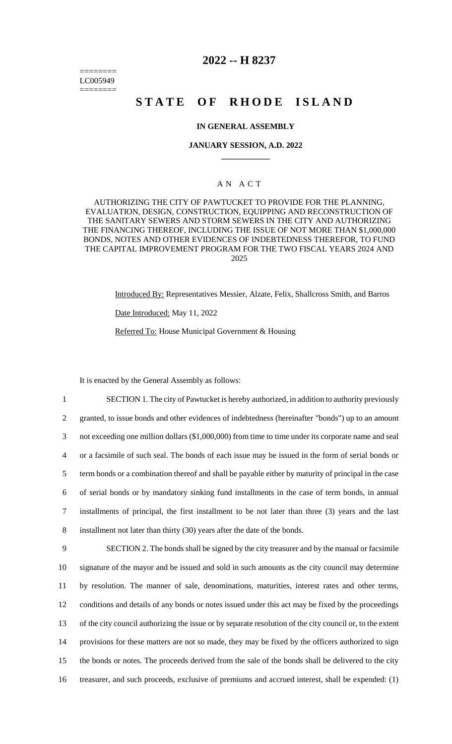======== LC005949 ========

# **2022 -- H 8237**

# **STATE OF RHODE ISLAND**

#### **IN GENERAL ASSEMBLY**

#### **JANUARY SESSION, A.D. 2022 \_\_\_\_\_\_\_\_\_\_\_\_**

## A N A C T

AUTHORIZING THE CITY OF PAWTUCKET TO PROVIDE FOR THE PLANNING, EVALUATION, DESIGN, CONSTRUCTION, EQUIPPING AND RECONSTRUCTION OF THE SANITARY SEWERS AND STORM SEWERS IN THE CITY AND AUTHORIZING THE FINANCING THEREOF, INCLUDING THE ISSUE OF NOT MORE THAN \$1,000,000 BONDS, NOTES AND OTHER EVIDENCES OF INDEBTEDNESS THEREFOR, TO FUND THE CAPITAL IMPROVEMENT PROGRAM FOR THE TWO FISCAL YEARS 2024 AND 2025

> Introduced By: Representatives Messier, Alzate, Felix, Shallcross Smith, and Barros Date Introduced: May 11, 2022

Referred To: House Municipal Government & Housing

It is enacted by the General Assembly as follows:

 SECTION 1. The city of Pawtucket is hereby authorized, in addition to authority previously granted, to issue bonds and other evidences of indebtedness (hereinafter "bonds") up to an amount not exceeding one million dollars (\$1,000,000) from time to time under its corporate name and seal or a facsimile of such seal. The bonds of each issue may be issued in the form of serial bonds or term bonds or a combination thereof and shall be payable either by maturity of principal in the case of serial bonds or by mandatory sinking fund installments in the case of term bonds, in annual installments of principal, the first installment to be not later than three (3) years and the last installment not later than thirty (30) years after the date of the bonds. SECTION 2. The bonds shall be signed by the city treasurer and by the manual or facsimile signature of the mayor and be issued and sold in such amounts as the city council may determine

 by resolution. The manner of sale, denominations, maturities, interest rates and other terms, conditions and details of any bonds or notes issued under this act may be fixed by the proceedings of the city council authorizing the issue or by separate resolution of the city council or, to the extent provisions for these matters are not so made, they may be fixed by the officers authorized to sign the bonds or notes. The proceeds derived from the sale of the bonds shall be delivered to the city treasurer, and such proceeds, exclusive of premiums and accrued interest, shall be expended: (1)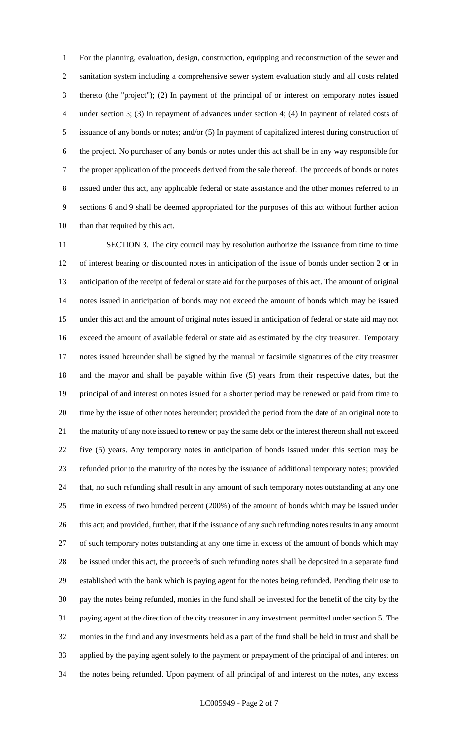For the planning, evaluation, design, construction, equipping and reconstruction of the sewer and sanitation system including a comprehensive sewer system evaluation study and all costs related thereto (the "project"); (2) In payment of the principal of or interest on temporary notes issued under section 3; (3) In repayment of advances under section 4; (4) In payment of related costs of issuance of any bonds or notes; and/or (5) In payment of capitalized interest during construction of the project. No purchaser of any bonds or notes under this act shall be in any way responsible for the proper application of the proceeds derived from the sale thereof. The proceeds of bonds or notes issued under this act, any applicable federal or state assistance and the other monies referred to in sections 6 and 9 shall be deemed appropriated for the purposes of this act without further action than that required by this act.

 SECTION 3. The city council may by resolution authorize the issuance from time to time of interest bearing or discounted notes in anticipation of the issue of bonds under section 2 or in anticipation of the receipt of federal or state aid for the purposes of this act. The amount of original notes issued in anticipation of bonds may not exceed the amount of bonds which may be issued under this act and the amount of original notes issued in anticipation of federal or state aid may not exceed the amount of available federal or state aid as estimated by the city treasurer. Temporary notes issued hereunder shall be signed by the manual or facsimile signatures of the city treasurer and the mayor and shall be payable within five (5) years from their respective dates, but the principal of and interest on notes issued for a shorter period may be renewed or paid from time to time by the issue of other notes hereunder; provided the period from the date of an original note to the maturity of any note issued to renew or pay the same debt or the interest thereon shall not exceed five (5) years. Any temporary notes in anticipation of bonds issued under this section may be refunded prior to the maturity of the notes by the issuance of additional temporary notes; provided that, no such refunding shall result in any amount of such temporary notes outstanding at any one time in excess of two hundred percent (200%) of the amount of bonds which may be issued under 26 this act; and provided, further, that if the issuance of any such refunding notes results in any amount of such temporary notes outstanding at any one time in excess of the amount of bonds which may be issued under this act, the proceeds of such refunding notes shall be deposited in a separate fund established with the bank which is paying agent for the notes being refunded. Pending their use to pay the notes being refunded, monies in the fund shall be invested for the benefit of the city by the paying agent at the direction of the city treasurer in any investment permitted under section 5. The monies in the fund and any investments held as a part of the fund shall be held in trust and shall be applied by the paying agent solely to the payment or prepayment of the principal of and interest on the notes being refunded. Upon payment of all principal of and interest on the notes, any excess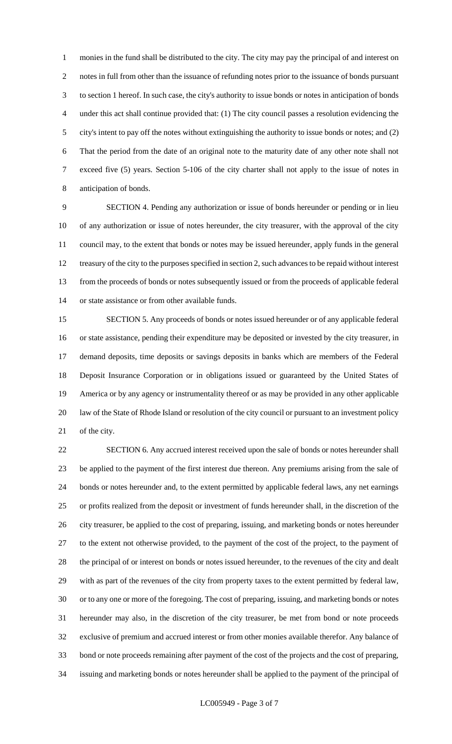monies in the fund shall be distributed to the city. The city may pay the principal of and interest on notes in full from other than the issuance of refunding notes prior to the issuance of bonds pursuant to section 1 hereof. In such case, the city's authority to issue bonds or notes in anticipation of bonds under this act shall continue provided that: (1) The city council passes a resolution evidencing the city's intent to pay off the notes without extinguishing the authority to issue bonds or notes; and (2) That the period from the date of an original note to the maturity date of any other note shall not exceed five (5) years. Section 5-106 of the city charter shall not apply to the issue of notes in anticipation of bonds.

 SECTION 4. Pending any authorization or issue of bonds hereunder or pending or in lieu of any authorization or issue of notes hereunder, the city treasurer, with the approval of the city council may, to the extent that bonds or notes may be issued hereunder, apply funds in the general treasury of the city to the purposes specified in section 2, such advances to be repaid without interest from the proceeds of bonds or notes subsequently issued or from the proceeds of applicable federal or state assistance or from other available funds.

 SECTION 5. Any proceeds of bonds or notes issued hereunder or of any applicable federal or state assistance, pending their expenditure may be deposited or invested by the city treasurer, in demand deposits, time deposits or savings deposits in banks which are members of the Federal Deposit Insurance Corporation or in obligations issued or guaranteed by the United States of America or by any agency or instrumentality thereof or as may be provided in any other applicable law of the State of Rhode Island or resolution of the city council or pursuant to an investment policy of the city.

 SECTION 6. Any accrued interest received upon the sale of bonds or notes hereunder shall be applied to the payment of the first interest due thereon. Any premiums arising from the sale of bonds or notes hereunder and, to the extent permitted by applicable federal laws, any net earnings or profits realized from the deposit or investment of funds hereunder shall, in the discretion of the city treasurer, be applied to the cost of preparing, issuing, and marketing bonds or notes hereunder to the extent not otherwise provided, to the payment of the cost of the project, to the payment of the principal of or interest on bonds or notes issued hereunder, to the revenues of the city and dealt with as part of the revenues of the city from property taxes to the extent permitted by federal law, or to any one or more of the foregoing. The cost of preparing, issuing, and marketing bonds or notes hereunder may also, in the discretion of the city treasurer, be met from bond or note proceeds exclusive of premium and accrued interest or from other monies available therefor. Any balance of bond or note proceeds remaining after payment of the cost of the projects and the cost of preparing, issuing and marketing bonds or notes hereunder shall be applied to the payment of the principal of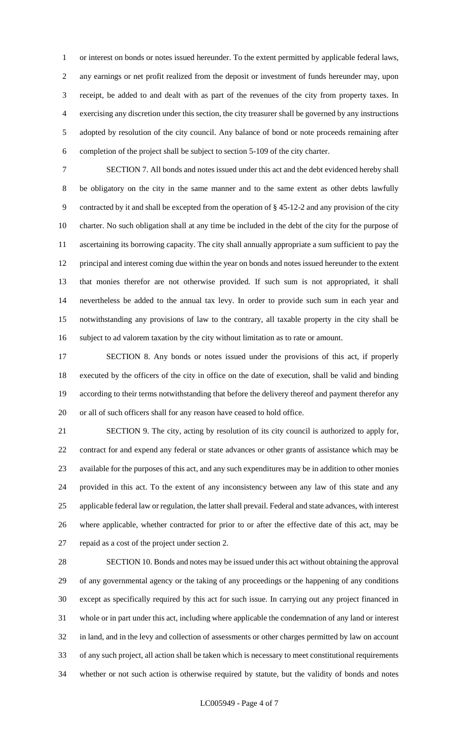or interest on bonds or notes issued hereunder. To the extent permitted by applicable federal laws, any earnings or net profit realized from the deposit or investment of funds hereunder may, upon receipt, be added to and dealt with as part of the revenues of the city from property taxes. In exercising any discretion under this section, the city treasurer shall be governed by any instructions adopted by resolution of the city council. Any balance of bond or note proceeds remaining after completion of the project shall be subject to section 5-109 of the city charter.

 SECTION 7. All bonds and notes issued under this act and the debt evidenced hereby shall be obligatory on the city in the same manner and to the same extent as other debts lawfully contracted by it and shall be excepted from the operation of § 45-12-2 and any provision of the city charter. No such obligation shall at any time be included in the debt of the city for the purpose of ascertaining its borrowing capacity. The city shall annually appropriate a sum sufficient to pay the principal and interest coming due within the year on bonds and notes issued hereunder to the extent that monies therefor are not otherwise provided. If such sum is not appropriated, it shall nevertheless be added to the annual tax levy. In order to provide such sum in each year and notwithstanding any provisions of law to the contrary, all taxable property in the city shall be subject to ad valorem taxation by the city without limitation as to rate or amount.

 SECTION 8. Any bonds or notes issued under the provisions of this act, if properly executed by the officers of the city in office on the date of execution, shall be valid and binding according to their terms notwithstanding that before the delivery thereof and payment therefor any or all of such officers shall for any reason have ceased to hold office.

 SECTION 9. The city, acting by resolution of its city council is authorized to apply for, contract for and expend any federal or state advances or other grants of assistance which may be available for the purposes of this act, and any such expenditures may be in addition to other monies provided in this act. To the extent of any inconsistency between any law of this state and any applicable federal law or regulation, the latter shall prevail. Federal and state advances, with interest where applicable, whether contracted for prior to or after the effective date of this act, may be repaid as a cost of the project under section 2.

 SECTION 10. Bonds and notes may be issued under this act without obtaining the approval of any governmental agency or the taking of any proceedings or the happening of any conditions except as specifically required by this act for such issue. In carrying out any project financed in whole or in part under this act, including where applicable the condemnation of any land or interest in land, and in the levy and collection of assessments or other charges permitted by law on account of any such project, all action shall be taken which is necessary to meet constitutional requirements whether or not such action is otherwise required by statute, but the validity of bonds and notes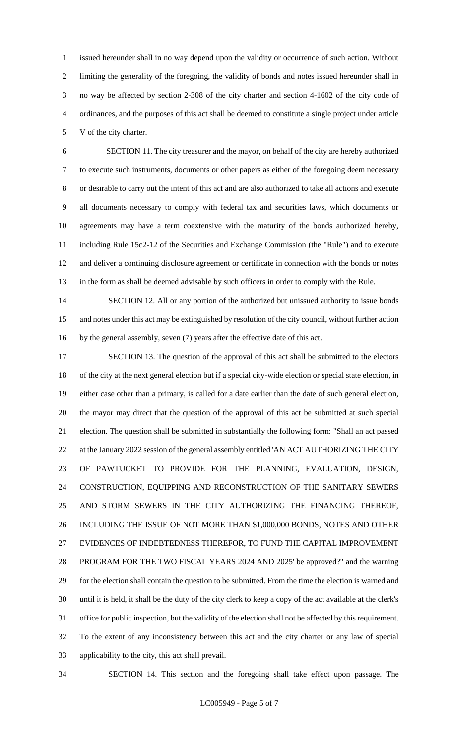issued hereunder shall in no way depend upon the validity or occurrence of such action. Without limiting the generality of the foregoing, the validity of bonds and notes issued hereunder shall in no way be affected by section 2-308 of the city charter and section 4-1602 of the city code of ordinances, and the purposes of this act shall be deemed to constitute a single project under article V of the city charter.

 SECTION 11. The city treasurer and the mayor, on behalf of the city are hereby authorized to execute such instruments, documents or other papers as either of the foregoing deem necessary or desirable to carry out the intent of this act and are also authorized to take all actions and execute all documents necessary to comply with federal tax and securities laws, which documents or agreements may have a term coextensive with the maturity of the bonds authorized hereby, including Rule 15c2-12 of the Securities and Exchange Commission (the "Rule") and to execute and deliver a continuing disclosure agreement or certificate in connection with the bonds or notes in the form as shall be deemed advisable by such officers in order to comply with the Rule.

14 SECTION 12. All or any portion of the authorized but unissued authority to issue bonds and notes under this act may be extinguished by resolution of the city council, without further action by the general assembly, seven (7) years after the effective date of this act.

 SECTION 13. The question of the approval of this act shall be submitted to the electors of the city at the next general election but if a special city-wide election or special state election, in either case other than a primary, is called for a date earlier than the date of such general election, the mayor may direct that the question of the approval of this act be submitted at such special election. The question shall be submitted in substantially the following form: "Shall an act passed 22 at the January 2022 session of the general assembly entitled 'AN ACT AUTHORIZING THE CITY OF PAWTUCKET TO PROVIDE FOR THE PLANNING, EVALUATION, DESIGN, CONSTRUCTION, EQUIPPING AND RECONSTRUCTION OF THE SANITARY SEWERS AND STORM SEWERS IN THE CITY AUTHORIZING THE FINANCING THEREOF, INCLUDING THE ISSUE OF NOT MORE THAN \$1,000,000 BONDS, NOTES AND OTHER EVIDENCES OF INDEBTEDNESS THEREFOR, TO FUND THE CAPITAL IMPROVEMENT PROGRAM FOR THE TWO FISCAL YEARS 2024 AND 2025' be approved?" and the warning for the election shall contain the question to be submitted. From the time the election is warned and until it is held, it shall be the duty of the city clerk to keep a copy of the act available at the clerk's office for public inspection, but the validity of the election shall not be affected by this requirement. To the extent of any inconsistency between this act and the city charter or any law of special applicability to the city, this act shall prevail.

SECTION 14. This section and the foregoing shall take effect upon passage. The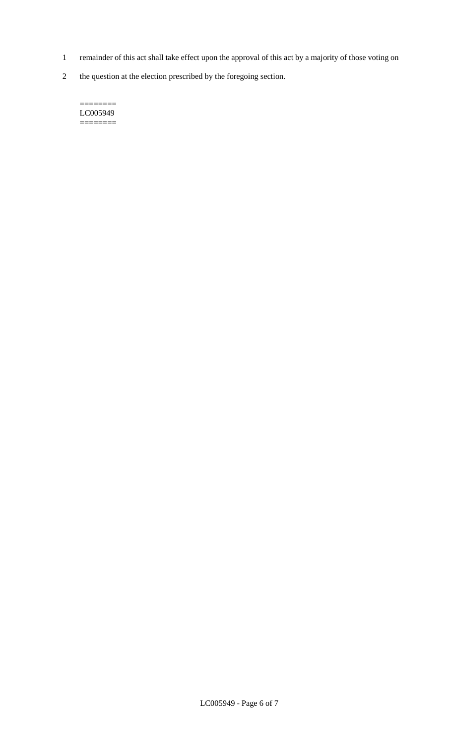- 1 remainder of this act shall take effect upon the approval of this act by a majority of those voting on
- 2 the question at the election prescribed by the foregoing section.

======== LC005949  $=$